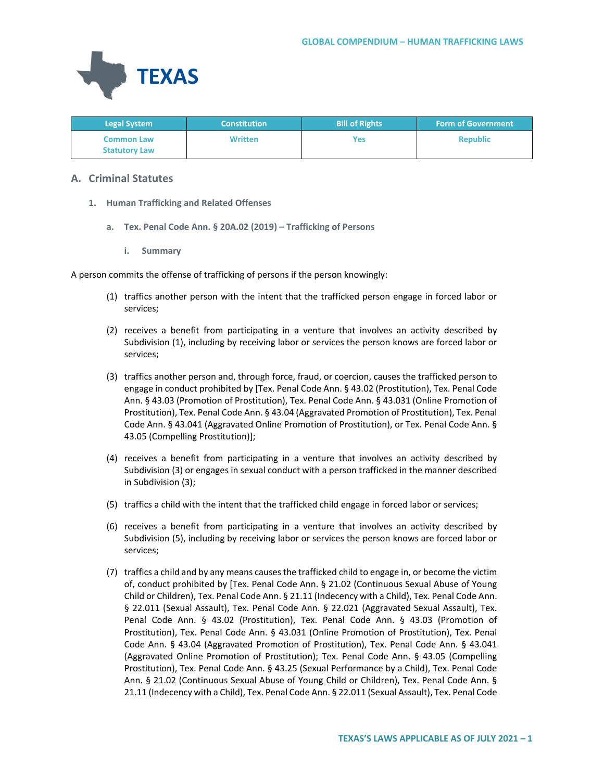

| <b>Legal System</b>                       | <b>Constitution</b> | <b>Bill of Rights</b> | <b>Form of Government</b> |
|-------------------------------------------|---------------------|-----------------------|---------------------------|
| <b>Common Law</b><br><b>Statutory Law</b> | <b>Written</b>      | Yes                   | <b>Republic</b>           |

# **A. Criminal Statutes**

- **1. Human Trafficking and Related Offenses**
	- **a. Tex. Penal Code Ann. § 20A.02 (2019) – Trafficking of Persons**
		- **i. Summary**

A person commits the offense of trafficking of persons if the person knowingly:

- (1) traffics another person with the intent that the trafficked person engage in forced labor or services;
- (2) receives a benefit from participating in a venture that involves an activity described by Subdivision (1), including by receiving labor or services the person knows are forced labor or services;
- (3) traffics another person and, through force, fraud, or coercion, causes the trafficked person to engage in conduct prohibited by [Tex. Penal Code Ann. § 43.02 (Prostitution), Tex. Penal Code Ann. § 43.03 (Promotion of Prostitution), Tex. Penal Code Ann. § 43.031 (Online Promotion of Prostitution), Tex. Penal Code Ann. § 43.04 (Aggravated Promotion of Prostitution), Tex. Penal Code Ann. § 43.041 (Aggravated Online Promotion of Prostitution), or Tex. Penal Code Ann. § 43.05 (Compelling Prostitution)];
- (4) receives a benefit from participating in a venture that involves an activity described by Subdivision (3) or engages in sexual conduct with a person trafficked in the manner described in Subdivision (3);
- (5) traffics a child with the intent that the trafficked child engage in forced labor or services;
- (6) receives a benefit from participating in a venture that involves an activity described by Subdivision (5), including by receiving labor or services the person knows are forced labor or services;
- (7) traffics a child and by any means causes the trafficked child to engage in, or become the victim of, conduct prohibited by [Tex. Penal Code Ann. § 21.02 (Continuous Sexual Abuse of Young Child or Children), Tex. Penal Code Ann. § 21.11 (Indecency with a Child), Tex. Penal Code Ann. § 22.011 (Sexual Assault), Tex. Penal Code Ann. § 22.021 (Aggravated Sexual Assault), Tex. Penal Code Ann. § 43.02 (Prostitution), Tex. Penal Code Ann. § 43.03 (Promotion of Prostitution), Tex. Penal Code Ann. § 43.031 (Online Promotion of Prostitution), Tex. Penal Code Ann. § 43.04 (Aggravated Promotion of Prostitution), Tex. Penal Code Ann. § 43.041 (Aggravated Online Promotion of Prostitution); Tex. Penal Code Ann. § 43.05 (Compelling Prostitution), Tex. Penal Code Ann. § 43.25 (Sexual Performance by a Child), Tex. Penal Code Ann. § 21.02 (Continuous Sexual Abuse of Young Child or Children), Tex. Penal Code Ann. § 21.11 (Indecency with a Child), Tex. Penal Code Ann. § 22.011 (Sexual Assault), Tex. Penal Code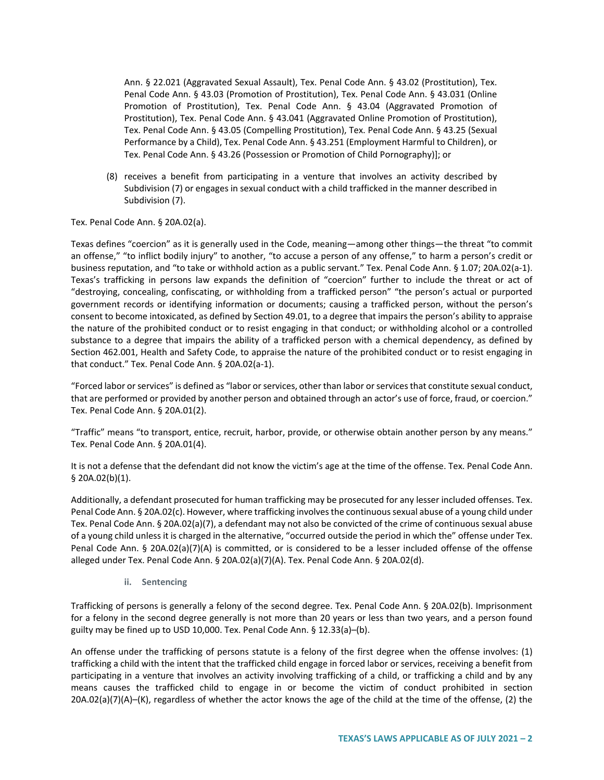Ann. § 22.021 (Aggravated Sexual Assault), Tex. Penal Code Ann. § 43.02 (Prostitution), Tex. Penal Code Ann. § 43.03 (Promotion of Prostitution), Tex. Penal Code Ann. § 43.031 (Online Promotion of Prostitution), Tex. Penal Code Ann. § 43.04 (Aggravated Promotion of Prostitution), Tex. Penal Code Ann. § 43.041 (Aggravated Online Promotion of Prostitution), Tex. Penal Code Ann. § 43.05 (Compelling Prostitution), Tex. Penal Code Ann. § 43.25 (Sexual Performance by a Child), Tex. Penal Code Ann. § 43.251 (Employment Harmful to Children), or Tex. Penal Code Ann. § 43.26 (Possession or Promotion of Child Pornography)]; or

(8) receives a benefit from participating in a venture that involves an activity described by Subdivision (7) or engages in sexual conduct with a child trafficked in the manner described in Subdivision (7).

Tex. Penal Code Ann. § 20A.02(a).

Texas defines "coercion" as it is generally used in the Code, meaning—among other things—the threat "to commit an offense," "to inflict bodily injury" to another, "to accuse a person of any offense," to harm a person's credit or business reputation, and "to take or withhold action as a public servant." Tex. Penal Code Ann. § 1.07; 20A.02(a-1). Texas's trafficking in persons law expands the definition of "coercion" further to include the threat or act of "destroying, concealing, confiscating, or withholding from a trafficked person" "the person's actual or purported government records or identifying information or documents; causing a trafficked person, without the person's consent to become intoxicated, as defined by Section 49.01, to a degree that impairs the person's ability to appraise the nature of the prohibited conduct or to resist engaging in that conduct; or withholding alcohol or a controlled substance to a degree that impairs the ability of a trafficked person with a chemical dependency, as defined by Section 462.001, Health and Safety Code, to appraise the nature of the prohibited conduct or to resist engaging in that conduct." Tex. Penal Code Ann. § 20A.02(a-1).

"Forced labor or services" is defined as "labor or services, other than labor or services that constitute sexual conduct, that are performed or provided by another person and obtained through an actor's use of force, fraud, or coercion." Tex. Penal Code Ann. § 20A.01(2).

"Traffic" means "to transport, entice, recruit, harbor, provide, or otherwise obtain another person by any means." Tex. Penal Code Ann. § 20A.01(4).

It is not a defense that the defendant did not know the victim's age at the time of the offense. Tex. Penal Code Ann. § 20A.02(b)(1).

Additionally, a defendant prosecuted for human trafficking may be prosecuted for any lesser included offenses. Tex. Penal Code Ann. § 20A.02(c). However, where trafficking involves the continuous sexual abuse of a young child under Tex. Penal Code Ann. § 20A.02(a)(7), a defendant may not also be convicted of the crime of continuous sexual abuse of a young child unless it is charged in the alternative, "occurred outside the period in which the" offense under Tex. Penal Code Ann. § 20A.02(a)(7)(A) is committed, or is considered to be a lesser included offense of the offense alleged under Tex. Penal Code Ann. § 20A.02(a)(7)(A). Tex. Penal Code Ann. § 20A.02(d).

**ii. Sentencing**

Trafficking of persons is generally a felony of the second degree. Tex. Penal Code Ann. § 20A.02(b). Imprisonment for a felony in the second degree generally is not more than 20 years or less than two years, and a person found guilty may be fined up to USD 10,000. Tex. Penal Code Ann. § 12.33(a)–(b).

An offense under the trafficking of persons statute is a felony of the first degree when the offense involves: (1) trafficking a child with the intent that the trafficked child engage in forced labor or services, receiving a benefit from participating in a venture that involves an activity involving trafficking of a child, or trafficking a child and by any means causes the trafficked child to engage in or become the victim of conduct prohibited in section 20A.02(a)(7)(A)–(K), regardless of whether the actor knows the age of the child at the time of the offense, (2) the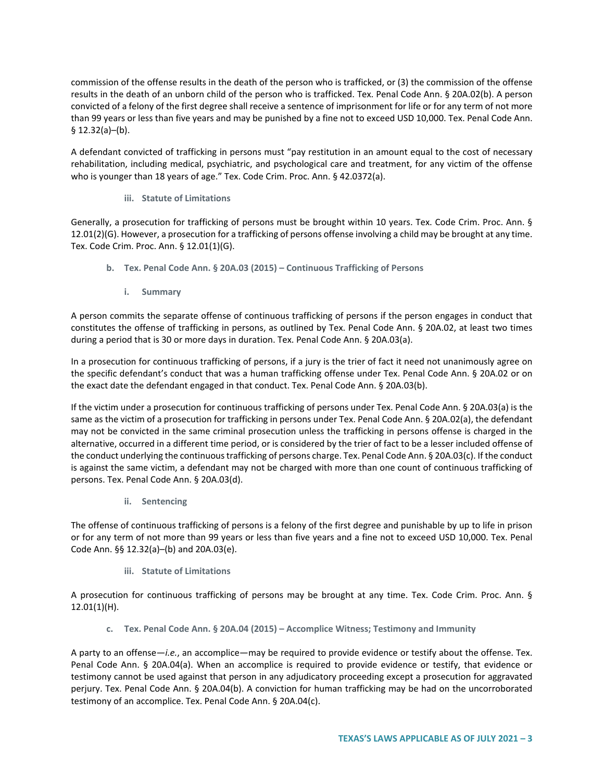commission of the offense results in the death of the person who is trafficked, or (3) the commission of the offense results in the death of an unborn child of the person who is trafficked. Tex. Penal Code Ann. § 20A.02(b). A person convicted of a felony of the first degree shall receive a sentence of imprisonment for life or for any term of not more than 99 years or less than five years and may be punished by a fine not to exceed USD 10,000. Tex. Penal Code Ann. § 12.32(a)–(b).

A defendant convicted of trafficking in persons must "pay restitution in an amount equal to the cost of necessary rehabilitation, including medical, psychiatric, and psychological care and treatment, for any victim of the offense who is younger than 18 years of age." Tex. Code Crim. Proc. Ann. § 42.0372(a).

# **iii. Statute of Limitations**

Generally, a prosecution for trafficking of persons must be brought within 10 years. Tex. Code Crim. Proc. Ann. § 12.01(2)(G). However, a prosecution for a trafficking of persons offense involving a child may be brought at any time. Tex. Code Crim. Proc. Ann. § 12.01(1)(G).

- **b. Tex. Penal Code Ann. § 20A.03 (2015) – Continuous Trafficking of Persons**
	- **i. Summary**

A person commits the separate offense of continuous trafficking of persons if the person engages in conduct that constitutes the offense of trafficking in persons, as outlined by Tex. Penal Code Ann. § 20A.02, at least two times during a period that is 30 or more days in duration. Tex. Penal Code Ann. § 20A.03(a).

In a prosecution for continuous trafficking of persons, if a jury is the trier of fact it need not unanimously agree on the specific defendant's conduct that was a human trafficking offense under Tex. Penal Code Ann. § 20A.02 or on the exact date the defendant engaged in that conduct. Tex. Penal Code Ann. § 20A.03(b).

If the victim under a prosecution for continuous trafficking of persons under Tex. Penal Code Ann. § 20A.03(a) is the same as the victim of a prosecution for trafficking in persons under Tex. Penal Code Ann. § 20A.02(a), the defendant may not be convicted in the same criminal prosecution unless the trafficking in persons offense is charged in the alternative, occurred in a different time period, or is considered by the trier of fact to be a lesser included offense of the conduct underlying the continuous trafficking of persons charge. Tex. Penal Code Ann. § 20A.03(c). If the conduct is against the same victim, a defendant may not be charged with more than one count of continuous trafficking of persons. Tex. Penal Code Ann. § 20A.03(d).

**ii. Sentencing** 

The offense of continuous trafficking of persons is a felony of the first degree and punishable by up to life in prison or for any term of not more than 99 years or less than five years and a fine not to exceed USD 10,000. Tex. Penal Code Ann. §§ 12.32(a)–(b) and 20A.03(e).

# **iii. Statute of Limitations**

A prosecution for continuous trafficking of persons may be brought at any time. Tex. Code Crim. Proc. Ann. § 12.01(1)(H).

**c. Tex. Penal Code Ann. § 20A.04 (2015) – Accomplice Witness; Testimony and Immunity** 

A party to an offense—*i.e.*, an accomplice—may be required to provide evidence or testify about the offense. Tex. Penal Code Ann. § 20A.04(a). When an accomplice is required to provide evidence or testify, that evidence or testimony cannot be used against that person in any adjudicatory proceeding except a prosecution for aggravated perjury. Tex. Penal Code Ann. § 20A.04(b). A conviction for human trafficking may be had on the uncorroborated testimony of an accomplice. Tex. Penal Code Ann. § 20A.04(c).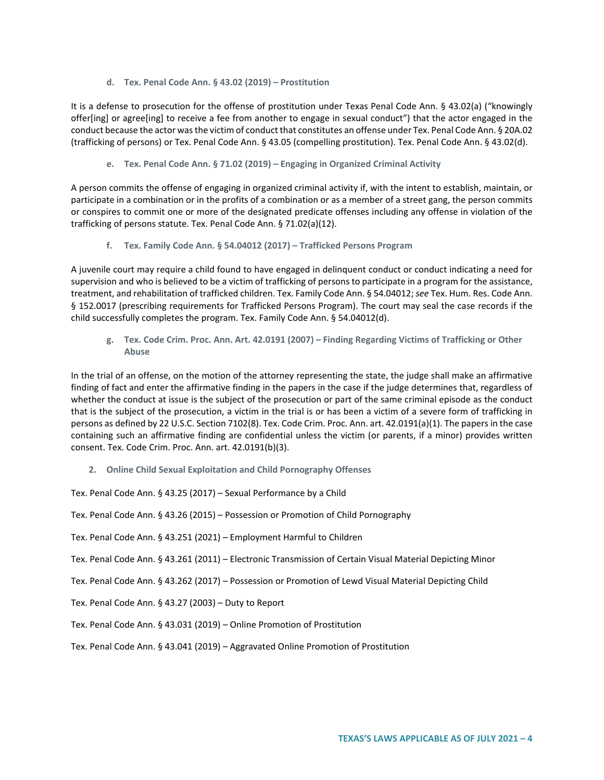**d. Tex. Penal Code Ann. § 43.02 (2019) – Prostitution**

It is a defense to prosecution for the offense of prostitution under Texas Penal Code Ann. § 43.02(a) ("knowingly offer[ing] or agree[ing] to receive a fee from another to engage in sexual conduct") that the actor engaged in the conduct because the actor was the victim of conduct that constitutes an offense under Tex. Penal Code Ann. § 20A.02 (trafficking of persons) or Tex. Penal Code Ann. § 43.05 (compelling prostitution). Tex. Penal Code Ann. § 43.02(d).

#### **e. Tex. Penal Code Ann. § 71.02 (2019) – Engaging in Organized Criminal Activity**

A person commits the offense of engaging in organized criminal activity if, with the intent to establish, maintain, or participate in a combination or in the profits of a combination or as a member of a street gang, the person commits or conspires to commit one or more of the designated predicate offenses including any offense in violation of the trafficking of persons statute. Tex. Penal Code Ann. § 71.02(a)(12).

**f. Tex. Family Code Ann. § 54.04012 (2017) – Trafficked Persons Program**

A juvenile court may require a child found to have engaged in delinquent conduct or conduct indicating a need for supervision and who is believed to be a victim of trafficking of persons to participate in a program for the assistance, treatment, and rehabilitation of trafficked children. Tex. Family Code Ann. § 54.04012; *see* Tex. Hum. Res. Code Ann. § 152.0017 (prescribing requirements for Trafficked Persons Program). The court may seal the case records if the child successfully completes the program. Tex. Family Code Ann. § 54.04012(d).

**g. Tex. Code Crim. Proc. Ann. Art. 42.0191 (2007) – Finding Regarding Victims of Trafficking or Other Abuse**

In the trial of an offense, on the motion of the attorney representing the state, the judge shall make an affirmative finding of fact and enter the affirmative finding in the papers in the case if the judge determines that, regardless of whether the conduct at issue is the subject of the prosecution or part of the same criminal episode as the conduct that is the subject of the prosecution, a victim in the trial is or has been a victim of a severe form of trafficking in persons as defined by 22 U.S.C. Section 7102(8). Tex. Code Crim. Proc. Ann. art. 42.0191(a)(1). The papers in the case containing such an affirmative finding are confidential unless the victim (or parents, if a minor) provides written consent. Tex. Code Crim. Proc. Ann. art. 42.0191(b)(3).

**2. Online Child Sexual Exploitation and Child Pornography Offenses**

Tex. Penal Code Ann. § 43.25 (2017) – Sexual Performance by a Child

Tex. Penal Code Ann. § 43.26 (2015) – Possession or Promotion of Child Pornography

Tex. Penal Code Ann. § 43.251 (2021) – Employment Harmful to Children

Tex. Penal Code Ann. § 43.261 (2011) – Electronic Transmission of Certain Visual Material Depicting Minor

Tex. Penal Code Ann. § 43.262 (2017) – Possession or Promotion of Lewd Visual Material Depicting Child

Tex. Penal Code Ann. § 43.27 (2003) – Duty to Report

Tex. Penal Code Ann. § 43.031 (2019) – Online Promotion of Prostitution

Tex. Penal Code Ann. § 43.041 (2019) – Aggravated Online Promotion of Prostitution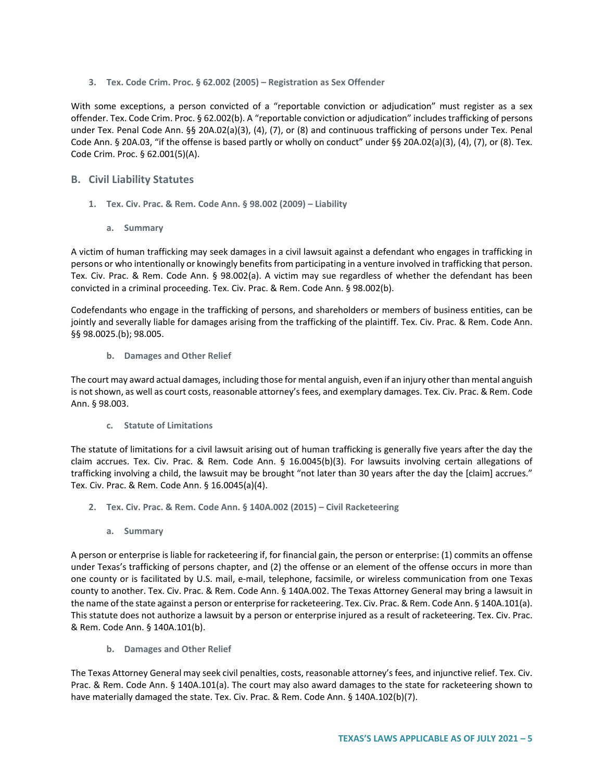**3. Tex. Code Crim. Proc. § 62.002 (2005) – Registration as Sex Offender** 

With some exceptions, a person convicted of a "reportable conviction or adjudication" must register as a sex offender. Tex. Code Crim. Proc. § 62.002(b). A "reportable conviction or adjudication" includes trafficking of persons under Tex. Penal Code Ann. §§ 20A.02(a)(3), (4), (7), or (8) and continuous trafficking of persons under Tex. Penal Code Ann. § 20A.03, "if the offense is based partly or wholly on conduct" under §§ 20A.02(a)(3), (4), (7), or (8). Tex. Code Crim. Proc. § 62.001(5)(A).

# **B. Civil Liability Statutes**

- **1. Tex. Civ. Prac. & Rem. Code Ann. § 98.002 (2009) – Liability**
	- **a. Summary**

A victim of human trafficking may seek damages in a civil lawsuit against a defendant who engages in trafficking in persons or who intentionally or knowingly benefits from participating in a venture involved in trafficking that person. Tex. Civ. Prac. & Rem. Code Ann. § 98.002(a). A victim may sue regardless of whether the defendant has been convicted in a criminal proceeding. Tex. Civ. Prac. & Rem. Code Ann. § 98.002(b).

Codefendants who engage in the trafficking of persons, and shareholders or members of business entities, can be jointly and severally liable for damages arising from the trafficking of the plaintiff. Tex. Civ. Prac. & Rem. Code Ann. §§ 98.0025.(b); 98.005.

**b. Damages and Other Relief**

The court may award actual damages, including those for mental anguish, even if an injury other than mental anguish is not shown, as well as court costs, reasonable attorney's fees, and exemplary damages. Tex. Civ. Prac. & Rem. Code Ann. § 98.003.

**c. Statute of Limitations**

The statute of limitations for a civil lawsuit arising out of human trafficking is generally five years after the day the claim accrues. Tex. Civ. Prac. & Rem. Code Ann. § 16.0045(b)(3). For lawsuits involving certain allegations of trafficking involving a child, the lawsuit may be brought "not later than 30 years after the day the [claim] accrues." Tex. Civ. Prac. & Rem. Code Ann. § 16.0045(a)(4).

- **2. Tex. Civ. Prac. & Rem. Code Ann. § 140A.002 (2015) – Civil Racketeering** 
	- **a. Summary**

A person or enterprise is liable for racketeering if, for financial gain, the person or enterprise: (1) commits an offense under Texas's trafficking of persons chapter, and (2) the offense or an element of the offense occurs in more than one county or is facilitated by U.S. mail, e-mail, telephone, facsimile, or wireless communication from one Texas county to another. Tex. Civ. Prac. & Rem. Code Ann. § 140A.002. The Texas Attorney General may bring a lawsuit in the name of the state against a person or enterprise for racketeering. Tex. Civ. Prac. & Rem. Code Ann. § 140A.101(a). This statute does not authorize a lawsuit by a person or enterprise injured as a result of racketeering. Tex. Civ. Prac. & Rem. Code Ann. § 140A.101(b).

**b. Damages and Other Relief**

The Texas Attorney General may seek civil penalties, costs, reasonable attorney's fees, and injunctive relief. Tex. Civ. Prac. & Rem. Code Ann. § 140A.101(a). The court may also award damages to the state for racketeering shown to have materially damaged the state. Tex. Civ. Prac. & Rem. Code Ann. § 140A.102(b)(7).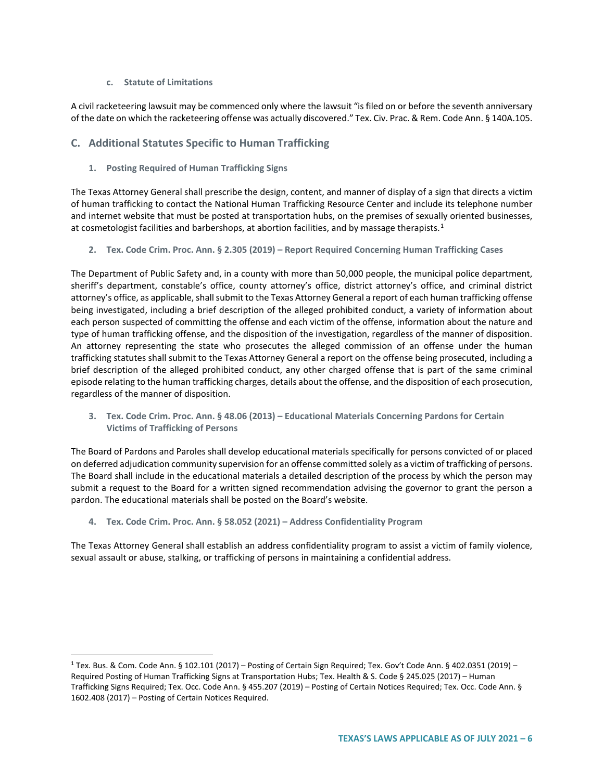### **c. Statute of Limitations**

A civil racketeering lawsuit may be commenced only where the lawsuit "is filed on or before the seventh anniversary of the date on which the racketeering offense was actually discovered." Tex. Civ. Prac. & Rem. Code Ann. § 140A.105.

# **C. Additional Statutes Specific to Human Trafficking**

**1. Posting Required of Human Trafficking Signs** 

The Texas Attorney General shall prescribe the design, content, and manner of display of a sign that directs a victim of human trafficking to contact the National Human Trafficking Resource Center and include its telephone number and internet website that must be posted at transportation hubs, on the premises of sexually oriented businesses, at cosmetologist facilities and barbershops, at abortion facilities, and by massage therapists.<sup>[1](#page-5-0)</sup>

**2. Tex. Code Crim. Proc. Ann. § 2.305 (2019) – Report Required Concerning Human Trafficking Cases**

The Department of Public Safety and, in a county with more than 50,000 people, the municipal police department, sheriff's department, constable's office, county attorney's office, district attorney's office, and criminal district attorney's office, as applicable, shall submit to the Texas Attorney General a report of each human trafficking offense being investigated, including a brief description of the alleged prohibited conduct, a variety of information about each person suspected of committing the offense and each victim of the offense, information about the nature and type of human trafficking offense, and the disposition of the investigation, regardless of the manner of disposition. An attorney representing the state who prosecutes the alleged commission of an offense under the human trafficking statutes shall submit to the Texas Attorney General a report on the offense being prosecuted, including a brief description of the alleged prohibited conduct, any other charged offense that is part of the same criminal episode relating to the human trafficking charges, details about the offense, and the disposition of each prosecution, regardless of the manner of disposition.

**3. Tex. Code Crim. Proc. Ann. § 48.06 (2013) – Educational Materials Concerning Pardons for Certain Victims of Trafficking of Persons**

The Board of Pardons and Paroles shall develop educational materials specifically for persons convicted of or placed on deferred adjudication community supervision for an offense committed solely as a victim of trafficking of persons. The Board shall include in the educational materials a detailed description of the process by which the person may submit a request to the Board for a written signed recommendation advising the governor to grant the person a pardon. The educational materials shall be posted on the Board's website.

**4. Tex. Code Crim. Proc. Ann. § 58.052 (2021) – Address Confidentiality Program**

The Texas Attorney General shall establish an address confidentiality program to assist a victim of family violence, sexual assault or abuse, stalking, or trafficking of persons in maintaining a confidential address.

<span id="page-5-0"></span><sup>&</sup>lt;sup>1</sup> Tex. Bus. & Com. Code Ann. § 102.101 (2017) – Posting of Certain Sign Required; Tex. Gov't Code Ann. § 402.0351 (2019) – Required Posting of Human Trafficking Signs at Transportation Hubs; Tex. Health & S. Code § 245.025 (2017) – Human Trafficking Signs Required; Tex. Occ. Code Ann. § 455.207 (2019) – Posting of Certain Notices Required; Tex. Occ. Code Ann. § 1602.408 (2017) – Posting of Certain Notices Required.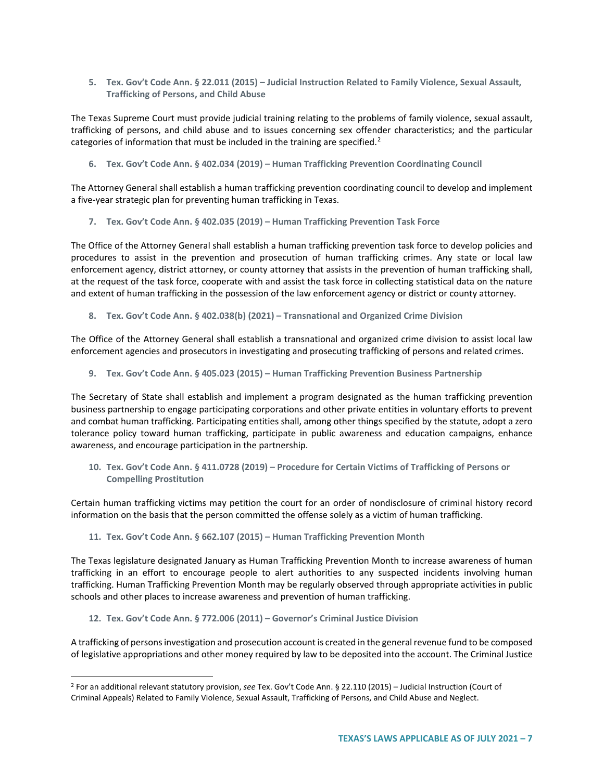**5. Tex. Gov't Code Ann. § 22.011 (2015) – Judicial Instruction Related to Family Violence, Sexual Assault, Trafficking of Persons, and Child Abuse**

The Texas Supreme Court must provide judicial training relating to the problems of family violence, sexual assault, trafficking of persons, and child abuse and to issues concerning sex offender characteristics; and the particular categories of information that must be included in the training are specified.<sup>[2](#page-6-0)</sup>

**6. Tex. Gov't Code Ann. § 402.034 (2019) – Human Trafficking Prevention Coordinating Council**

The Attorney General shall establish a human trafficking prevention coordinating council to develop and implement a five-year strategic plan for preventing human trafficking in Texas.

**7. Tex. Gov't Code Ann. § 402.035 (2019) – Human Trafficking Prevention Task Force**

The Office of the Attorney General shall establish a human trafficking prevention task force to develop policies and procedures to assist in the prevention and prosecution of human trafficking crimes. Any state or local law enforcement agency, district attorney, or county attorney that assists in the prevention of human trafficking shall, at the request of the task force, cooperate with and assist the task force in collecting statistical data on the nature and extent of human trafficking in the possession of the law enforcement agency or district or county attorney.

**8. Tex. Gov't Code Ann. § 402.038(b) (2021) – Transnational and Organized Crime Division**

The Office of the Attorney General shall establish a transnational and organized crime division to assist local law enforcement agencies and prosecutors in investigating and prosecuting trafficking of persons and related crimes.

**9. Tex. Gov't Code Ann. § 405.023 (2015) – Human Trafficking Prevention Business Partnership**

The Secretary of State shall establish and implement a program designated as the human trafficking prevention business partnership to engage participating corporations and other private entities in voluntary efforts to prevent and combat human trafficking. Participating entities shall, among other things specified by the statute, adopt a zero tolerance policy toward human trafficking, participate in public awareness and education campaigns, enhance awareness, and encourage participation in the partnership.

**10. Tex. Gov't Code Ann. § 411.0728 (2019) – Procedure for Certain Victims of Trafficking of Persons or Compelling Prostitution**

Certain human trafficking victims may petition the court for an order of nondisclosure of criminal history record information on the basis that the person committed the offense solely as a victim of human trafficking.

### **11. Tex. Gov't Code Ann. § 662.107 (2015) – Human Trafficking Prevention Month**

The Texas legislature designated January as Human Trafficking Prevention Month to increase awareness of human trafficking in an effort to encourage people to alert authorities to any suspected incidents involving human trafficking. Human Trafficking Prevention Month may be regularly observed through appropriate activities in public schools and other places to increase awareness and prevention of human trafficking.

#### **12. Tex. Gov't Code Ann. § 772.006 (2011) – Governor's Criminal Justice Division**

A trafficking of persons investigation and prosecution account is created in the general revenue fund to be composed of legislative appropriations and other money required by law to be deposited into the account. The Criminal Justice

<span id="page-6-0"></span> <sup>2</sup> For an additional relevant statutory provision, *see* Tex. Gov't Code Ann. § 22.110 (2015) – Judicial Instruction (Court of Criminal Appeals) Related to Family Violence, Sexual Assault, Trafficking of Persons, and Child Abuse and Neglect.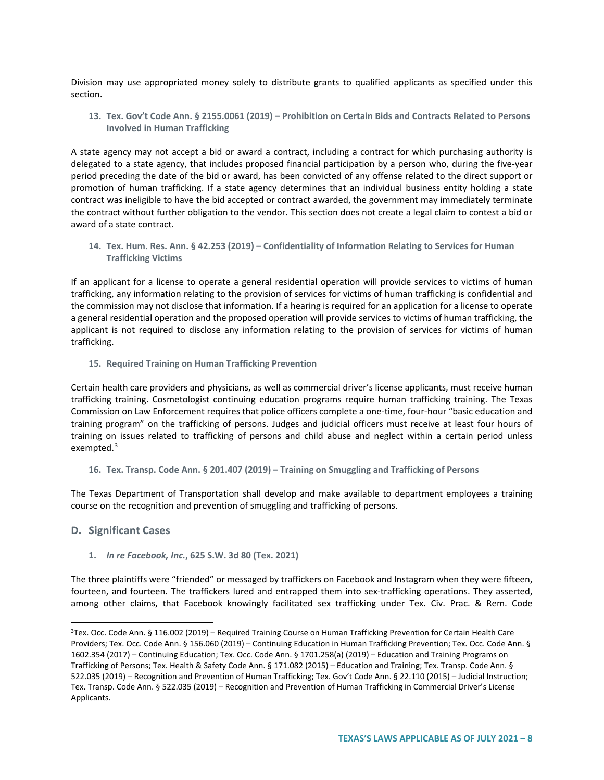Division may use appropriated money solely to distribute grants to qualified applicants as specified under this section.

**13. Tex. Gov't Code Ann. § 2155.0061 (2019) – Prohibition on Certain Bids and Contracts Related to Persons Involved in Human Trafficking**

A state agency may not accept a bid or award a contract, including a contract for which purchasing authority is delegated to a state agency, that includes proposed financial participation by a person who, during the five-year period preceding the date of the bid or award, has been convicted of any offense related to the direct support or promotion of human trafficking. If a state agency determines that an individual business entity holding a state contract was ineligible to have the bid accepted or contract awarded, the government may immediately terminate the contract without further obligation to the vendor. This section does not create a legal claim to contest a bid or award of a state contract.

**14. Tex. Hum. Res. Ann. § 42.253 (2019) – Confidentiality of Information Relating to Services for Human Trafficking Victims**

If an applicant for a license to operate a general residential operation will provide services to victims of human trafficking, any information relating to the provision of services for victims of human trafficking is confidential and the commission may not disclose that information. If a hearing is required for an application for a license to operate a general residential operation and the proposed operation will provide services to victims of human trafficking, the applicant is not required to disclose any information relating to the provision of services for victims of human trafficking.

**15. Required Training on Human Trafficking Prevention**

Certain health care providers and physicians, as well as commercial driver's license applicants, must receive human trafficking training. Cosmetologist continuing education programs require human trafficking training. The Texas Commission on Law Enforcement requires that police officers complete a one-time, four-hour "basic education and training program" on the trafficking of persons. Judges and judicial officers must receive at least four hours of training on issues related to trafficking of persons and child abuse and neglect within a certain period unless exempted.<sup>[3](#page-7-0)</sup>

#### **16. Tex. Transp. Code Ann. § 201.407 (2019) – Training on Smuggling and Trafficking of Persons**

The Texas Department of Transportation shall develop and make available to department employees a training course on the recognition and prevention of smuggling and trafficking of persons.

### **D. Significant Cases**

**1.** *In re Facebook, Inc.***, 625 S.W. 3d 80 (Tex. 2021)**

The three plaintiffs were "friended" or messaged by traffickers on Facebook and Instagram when they were fifteen, fourteen, and fourteen. The traffickers lured and entrapped them into sex-trafficking operations. They asserted, among other claims, that Facebook knowingly facilitated sex trafficking under Tex. Civ. Prac. & Rem. Code

<span id="page-7-0"></span><sup>&</sup>lt;sup>3</sup>Tex. Occ. Code Ann. § 116.002 (2019) – Required Training Course on Human Trafficking Prevention for Certain Health Care Providers; Tex. Occ. Code Ann. § 156.060 (2019) – Continuing Education in Human Trafficking Prevention; Tex. Occ. Code Ann. § 1602.354 (2017) – Continuing Education; Tex. Occ. Code Ann. § 1701.258(a) (2019) – Education and Training Programs on Trafficking of Persons; Tex. Health & Safety Code Ann. § 171.082 (2015) – Education and Training; Tex. Transp. Code Ann. § 522.035 (2019) – Recognition and Prevention of Human Trafficking; Tex. Gov't Code Ann. § 22.110 (2015) – Judicial Instruction; Tex. Transp. Code Ann. § 522.035 (2019) – Recognition and Prevention of Human Trafficking in Commercial Driver's License Applicants.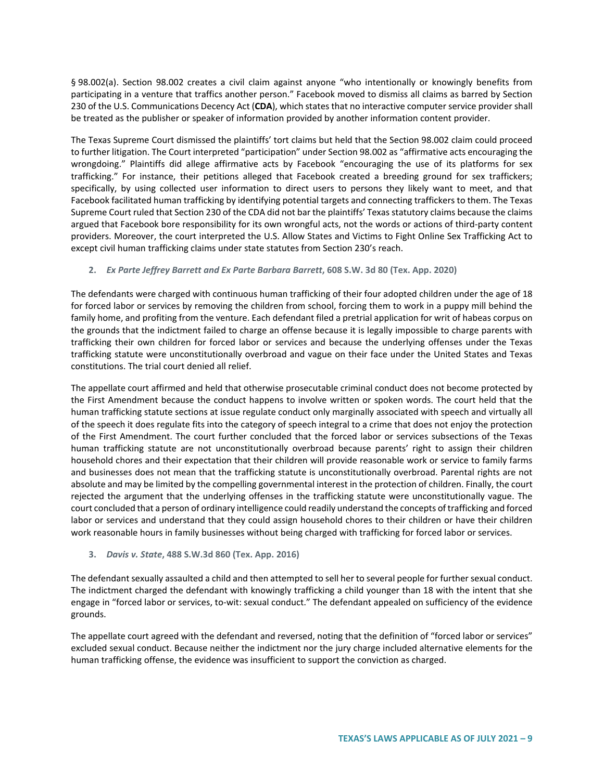§ 98.002(a). Section 98.002 creates a civil claim against anyone "who intentionally or knowingly benefits from participating in a venture that traffics another person." Facebook moved to dismiss all claims as barred by Section 230 of the U.S. Communications Decency Act (**CDA**), which states that no interactive computer service provider shall be treated as the publisher or speaker of information provided by another information content provider.

The Texas Supreme Court dismissed the plaintiffs' tort claims but held that the Section 98.002 claim could proceed to further litigation. The Court interpreted "participation" under Section 98.002 as "affirmative acts encouraging the wrongdoing." Plaintiffs did allege affirmative acts by Facebook "encouraging the use of its platforms for sex trafficking." For instance, their petitions alleged that Facebook created a breeding ground for sex traffickers; specifically, by using collected user information to direct users to persons they likely want to meet, and that Facebook facilitated human trafficking by identifying potential targets and connecting traffickers to them. The Texas Supreme Court ruled that Section 230 of the CDA did not bar the plaintiffs' Texas statutory claims because the claims argued that Facebook bore responsibility for its own wrongful acts, not the words or actions of third-party content providers. Moreover, the court interpreted the U.S. Allow States and Victims to Fight Online Sex Trafficking Act to except civil human trafficking claims under state statutes from Section 230's reach.

### **2.** *Ex Parte Jeffrey Barrett and Ex Parte Barbara Barrett***, 608 S.W. 3d 80 (Tex. App. 2020)**

The defendants were charged with continuous human trafficking of their four adopted children under the age of 18 for forced labor or services by removing the children from school, forcing them to work in a puppy mill behind the family home, and profiting from the venture. Each defendant filed a pretrial application for writ of habeas corpus on the grounds that the indictment failed to charge an offense because it is legally impossible to charge parents with trafficking their own children for forced labor or services and because the underlying offenses under the Texas trafficking statute were unconstitutionally overbroad and vague on their face under the United States and Texas constitutions. The trial court denied all relief.

The appellate court affirmed and held that otherwise prosecutable criminal conduct does not become protected by the First Amendment because the conduct happens to involve written or spoken words. The court held that the human trafficking statute sections at issue regulate conduct only marginally associated with speech and virtually all of the speech it does regulate fits into the category of speech integral to a crime that does not enjoy the protection of the First Amendment. The court further concluded that the forced labor or services subsections of the Texas human trafficking statute are not unconstitutionally overbroad because parents' right to assign their children household chores and their expectation that their children will provide reasonable work or service to family farms and businesses does not mean that the trafficking statute is unconstitutionally overbroad. Parental rights are not absolute and may be limited by the compelling governmental interest in the protection of children. Finally, the court rejected the argument that the underlying offenses in the trafficking statute were unconstitutionally vague. The court concluded that a person of ordinary intelligence could readily understand the concepts of trafficking and forced labor or services and understand that they could assign household chores to their children or have their children work reasonable hours in family businesses without being charged with trafficking for forced labor or services.

#### **3.** *Davis v. State***, 488 S.W.3d 860 (Tex. App. 2016)**

The defendant sexually assaulted a child and then attempted to sell her to several people for further sexual conduct. The indictment charged the defendant with knowingly trafficking a child younger than 18 with the intent that she engage in "forced labor or services, to-wit: sexual conduct." The defendant appealed on sufficiency of the evidence grounds.

The appellate court agreed with the defendant and reversed, noting that the definition of "forced labor or services" excluded sexual conduct. Because neither the indictment nor the jury charge included alternative elements for the human trafficking offense, the evidence was insufficient to support the conviction as charged.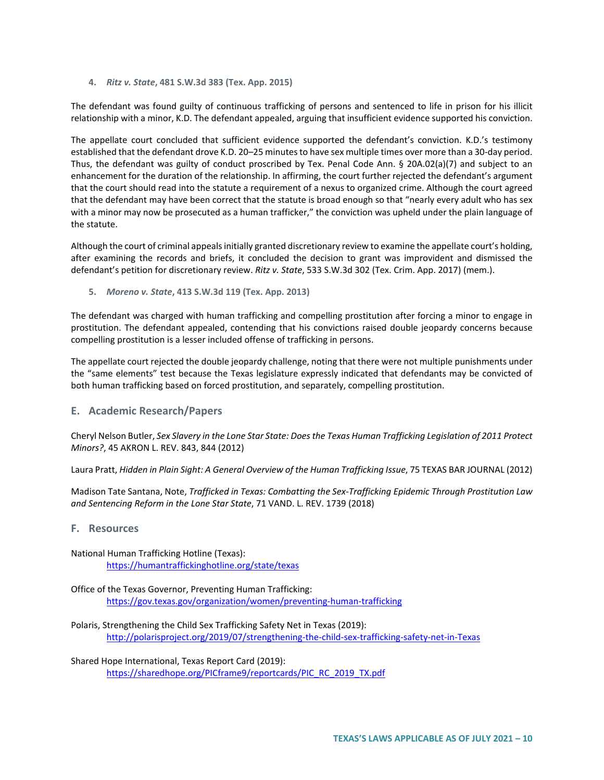**4.** *Ritz v. State***, 481 S.W.3d 383 (Tex. App. 2015)**

The defendant was found guilty of continuous trafficking of persons and sentenced to life in prison for his illicit relationship with a minor, K.D. The defendant appealed, arguing that insufficient evidence supported his conviction.

The appellate court concluded that sufficient evidence supported the defendant's conviction. K.D.'s testimony established that the defendant drove K.D. 20–25 minutes to have sex multiple times over more than a 30-day period. Thus, the defendant was guilty of conduct proscribed by Tex. Penal Code Ann. § 20A.02(a)(7) and subject to an enhancement for the duration of the relationship. In affirming, the court further rejected the defendant's argument that the court should read into the statute a requirement of a nexus to organized crime. Although the court agreed that the defendant may have been correct that the statute is broad enough so that "nearly every adult who has sex with a minor may now be prosecuted as a human trafficker," the conviction was upheld under the plain language of the statute.

Although the court of criminal appeals initially granted discretionary review to examine the appellate court's holding, after examining the records and briefs, it concluded the decision to grant was improvident and dismissed the defendant's petition for discretionary review. *Ritz v. State*, 533 S.W.3d 302 (Tex. Crim. App. 2017) (mem.).

**5.** *Moreno v. State***, 413 S.W.3d 119 (Tex. App. 2013)**

The defendant was charged with human trafficking and compelling prostitution after forcing a minor to engage in prostitution. The defendant appealed, contending that his convictions raised double jeopardy concerns because compelling prostitution is a lesser included offense of trafficking in persons.

The appellate court rejected the double jeopardy challenge, noting that there were not multiple punishments under the "same elements" test because the Texas legislature expressly indicated that defendants may be convicted of both human trafficking based on forced prostitution, and separately, compelling prostitution.

### **E. Academic Research/Papers**

Cheryl Nelson Butler, *Sex Slavery in the Lone Star State: Does the Texas Human Trafficking Legislation of 2011 Protect Minors?*, 45 AKRON L. REV. 843, 844 (2012)

Laura Pratt, *Hidden in Plain Sight: A General Overview of the Human Trafficking Issue*, 75 TEXAS BAR JOURNAL (2012)

Madison Tate Santana, Note, *Trafficked in Texas: Combatting the Sex-Trafficking Epidemic Through Prostitution Law and Sentencing Reform in the Lone Star State*, 71 VAND. L. REV. 1739 (2018)

### **F. Resources**

National Human Trafficking Hotline (Texas): <https://humantraffickinghotline.org/state/texas>

Office of the Texas Governor, Preventing Human Trafficking: <https://gov.texas.gov/organization/women/preventing-human-trafficking>

Polaris, Strengthening the Child Sex Trafficking Safety Net in Texas (2019): <http://polarisproject.org/2019/07/strengthening-the-child-sex-trafficking-safety-net-in-Texas>

Shared Hope International, Texas Report Card (2019): [https://sharedhope.org/PICframe9/reportcards/PIC\\_RC\\_2019\\_TX.pdf](https://sharedhope.org/PICframe9/reportcards/PIC_RC_2019_TX.pdf)